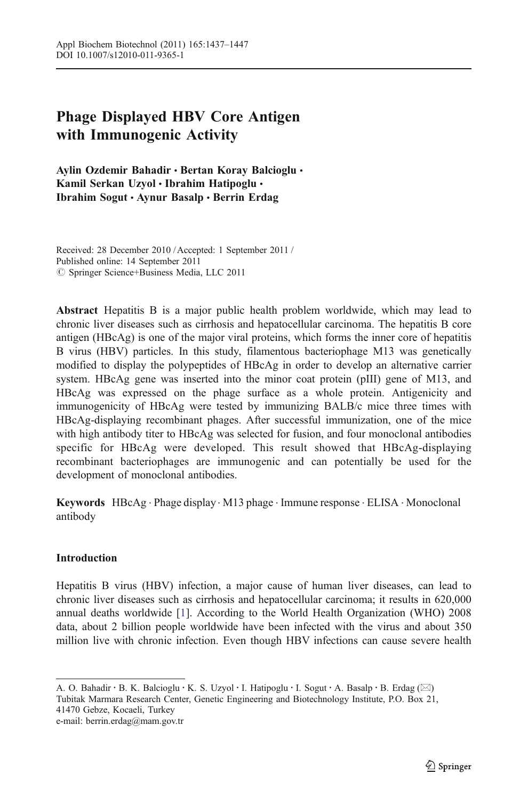# Phage Displayed HBV Core Antigen with Immunogenic Activity

Aylin Ozdemir Bahadir · Bertan Koray Balcioglu · Kamil Serkan Uzyol · Ibrahim Hatipoglu · Ibrahim Sogut & Aynur Basalp & Berrin Erdag

Received: 28 December 2010 / Accepted: 1 September 2011 / Published online: 14 September 2011  $©$  Springer Science+Business Media, LLC 2011

Abstract Hepatitis B is a major public health problem worldwide, which may lead to chronic liver diseases such as cirrhosis and hepatocellular carcinoma. The hepatitis B core antigen (HBcAg) is one of the major viral proteins, which forms the inner core of hepatitis B virus (HBV) particles. In this study, filamentous bacteriophage M13 was genetically modified to display the polypeptides of HBcAg in order to develop an alternative carrier system. HBcAg gene was inserted into the minor coat protein (pIII) gene of M13, and HBcAg was expressed on the phage surface as a whole protein. Antigenicity and immunogenicity of HBcAg were tested by immunizing BALB/c mice three times with HBcAg-displaying recombinant phages. After successful immunization, one of the mice with high antibody titer to HBcAg was selected for fusion, and four monoclonal antibodies specific for HBcAg were developed. This result showed that HBcAg-displaying recombinant bacteriophages are immunogenic and can potentially be used for the development of monoclonal antibodies.

Keywords HBcAg . Phage display . M13 phage . Immune response . ELISA . Monoclonal antibody

### **Introduction**

Hepatitis B virus (HBV) infection, a major cause of human liver diseases, can lead to chronic liver diseases such as cirrhosis and hepatocellular carcinoma; it results in 620,000 annual deaths worldwide [[1\]](#page-8-0). According to the World Health Organization (WHO) 2008 data, about 2 billion people worldwide have been infected with the virus and about 350 million live with chronic infection. Even though HBV infections can cause severe health

A. O. Bahadir · B. K. Balcioglu · K. S. Uzyol · I. Hatipoglu · I. Sogut · A. Basalp · B. Erdag (⊠) Tubitak Marmara Research Center, Genetic Engineering and Biotechnology Institute, P.O. Box 21, 41470 Gebze, Kocaeli, Turkey e-mail: berrin.erdag@mam.gov.tr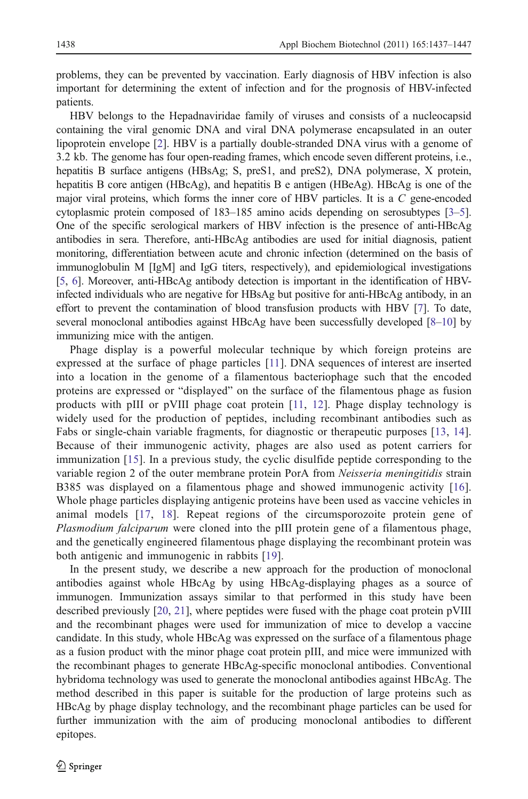problems, they can be prevented by vaccination. Early diagnosis of HBV infection is also important for determining the extent of infection and for the prognosis of HBV-infected patients.

HBV belongs to the Hepadnaviridae family of viruses and consists of a nucleocapsid containing the viral genomic DNA and viral DNA polymerase encapsulated in an outer lipoprotein envelope [[2\]](#page-8-0). HBV is a partially double-stranded DNA virus with a genome of 3.2 kb. The genome has four open-reading frames, which encode seven different proteins, i.e., hepatitis B surface antigens (HBsAg; S, preS1, and preS2), DNA polymerase, X protein, hepatitis B core antigen (HBcAg), and hepatitis B e antigen (HBeAg). HBcAg is one of the major viral proteins, which forms the inner core of HBV particles. It is a C gene-encoded cytoplasmic protein composed of 183–185 amino acids depending on serosubtypes [\[3](#page-8-0)–[5](#page-8-0)]. One of the specific serological markers of HBV infection is the presence of anti-HBcAg antibodies in sera. Therefore, anti-HBcAg antibodies are used for initial diagnosis, patient monitoring, differentiation between acute and chronic infection (determined on the basis of immunoglobulin M [IgM] and IgG titers, respectively), and epidemiological investigations [[5](#page-8-0), [6\]](#page-8-0). Moreover, anti-HBcAg antibody detection is important in the identification of HBVinfected individuals who are negative for HBsAg but positive for anti-HBcAg antibody, in an effort to prevent the contamination of blood transfusion products with HBV [[7](#page-8-0)]. To date, several monoclonal antibodies against HBcAg have been successfully developed [\[8](#page-9-0)–[10\]](#page-9-0) by immunizing mice with the antigen.

Phage display is a powerful molecular technique by which foreign proteins are expressed at the surface of phage particles [[11](#page-9-0)]. DNA sequences of interest are inserted into a location in the genome of a filamentous bacteriophage such that the encoded proteins are expressed or "displayed" on the surface of the filamentous phage as fusion products with pIII or pVIII phage coat protein [[11](#page-9-0), [12\]](#page-9-0). Phage display technology is widely used for the production of peptides, including recombinant antibodies such as Fabs or single-chain variable fragments, for diagnostic or therapeutic purposes [[13,](#page-9-0) [14](#page-9-0)]. Because of their immunogenic activity, phages are also used as potent carriers for immunization [\[15\]](#page-9-0). In a previous study, the cyclic disulfide peptide corresponding to the variable region 2 of the outer membrane protein PorA from Neisseria meningitidis strain B385 was displayed on a filamentous phage and showed immunogenic activity [\[16](#page-9-0)]. Whole phage particles displaying antigenic proteins have been used as vaccine vehicles in animal models [[17,](#page-9-0) [18\]](#page-9-0). Repeat regions of the circumsporozoite protein gene of Plasmodium falciparum were cloned into the pIII protein gene of a filamentous phage, and the genetically engineered filamentous phage displaying the recombinant protein was both antigenic and immunogenic in rabbits [\[19\]](#page-9-0).

In the present study, we describe a new approach for the production of monoclonal antibodies against whole HBcAg by using HBcAg-displaying phages as a source of immunogen. Immunization assays similar to that performed in this study have been described previously [[20](#page-9-0), [21\]](#page-9-0), where peptides were fused with the phage coat protein pVIII and the recombinant phages were used for immunization of mice to develop a vaccine candidate. In this study, whole HBcAg was expressed on the surface of a filamentous phage as a fusion product with the minor phage coat protein pIII, and mice were immunized with the recombinant phages to generate HBcAg-specific monoclonal antibodies. Conventional hybridoma technology was used to generate the monoclonal antibodies against HBcAg. The method described in this paper is suitable for the production of large proteins such as HBcAg by phage display technology, and the recombinant phage particles can be used for further immunization with the aim of producing monoclonal antibodies to different epitopes.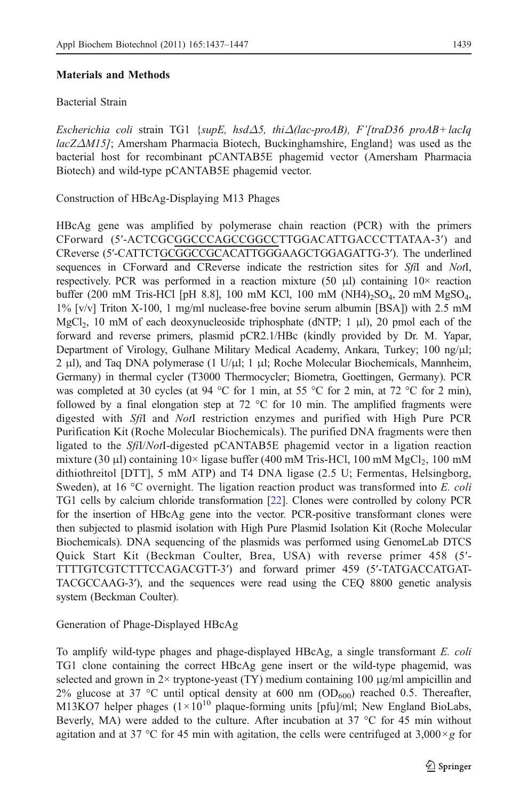#### Materials and Methods

## Bacterial Strain

Escherichia coli strain TG1 {supE, hsd $\Delta$ 5, thi $\Delta$ (lac-proAB), F'[traD36 proAB+lacIq  $lacZ\Delta M15$ ; Amersham Pharmacia Biotech, Buckinghamshire, England was used as the bacterial host for recombinant pCANTAB5E phagemid vector (Amersham Pharmacia Biotech) and wild-type pCANTAB5E phagemid vector.

Construction of HBcAg-Displaying M13 Phages

HBcAg gene was amplified by polymerase chain reaction (PCR) with the primers CForward (5′-ACTCGCGGCCCAGCCGGCCTTGGACATTGACCCTTATAA-3′) and CReverse (5′-CATTCTGCGGCCGCACATTGGGAAGCTGGAGATTG-3′). The underlined sequences in CForward and CReverse indicate the restriction sites for SfiI and NotI, respectively. PCR was performed in a reaction mixture (50  $\mu$ ) containing 10 $\times$  reaction buffer (200 mM Tris-HCl [pH 8.8], 100 mM KCl, 100 mM (NH4)<sub>2</sub>SO<sub>4</sub>, 20 mM MgSO<sub>4</sub>, 1% [v/v] Triton X-100, 1 mg/ml nuclease-free bovine serum albumin [BSA]) with 2.5 mM MgCl<sub>2</sub>, 10 mM of each deoxynucleoside triphosphate (dNTP; 1  $\mu$ l), 20 pmol each of the forward and reverse primers, plasmid pCR2.1/HBc (kindly provided by Dr. M. Yapar, Department of Virology, Gulhane Military Medical Academy, Ankara, Turkey; 100 ng/μl; 2 μl), and Taq DNA polymerase (1 U/μl; 1 μl; Roche Molecular Biochemicals, Mannheim, Germany) in thermal cycler (T3000 Thermocycler; Biometra, Goettingen, Germany). PCR was completed at 30 cycles (at 94 °C for 1 min, at 55 °C for 2 min, at 72 °C for 2 min), followed by a final elongation step at 72  $\degree$ C for 10 min. The amplified fragments were digested with SfiI and NotI restriction enzymes and purified with High Pure PCR Purification Kit (Roche Molecular Biochemicals). The purified DNA fragments were then ligated to the SfiI/NotI-digested pCANTAB5E phagemid vector in a ligation reaction mixture (30  $\mu$ ) containing 10× ligase buffer (400 mM Tris-HCl, 100 mM MgCl<sub>2</sub>, 100 mM dithiothreitol [DTT], 5 mM ATP) and T4 DNA ligase (2.5 U; Fermentas, Helsingborg, Sweden), at 16 °C overnight. The ligation reaction product was transformed into E. coli TG1 cells by calcium chloride transformation [\[22\]](#page-9-0). Clones were controlled by colony PCR for the insertion of HBcAg gene into the vector. PCR-positive transformant clones were then subjected to plasmid isolation with High Pure Plasmid Isolation Kit (Roche Molecular Biochemicals). DNA sequencing of the plasmids was performed using GenomeLab DTCS Quick Start Kit (Beckman Coulter, Brea, USA) with reverse primer 458 (5′- TTTTGTCGTCTTTCCAGACGTT-3′) and forward primer 459 (5′-TATGACCATGAT-TACGCCAAG-3′), and the sequences were read using the CEQ 8800 genetic analysis system (Beckman Coulter).

Generation of Phage-Displayed HBcAg

To amplify wild-type phages and phage-displayed HBcAg, a single transformant E. coli TG1 clone containing the correct HBcAg gene insert or the wild-type phagemid, was selected and grown in  $2\times$  tryptone-yeast (TY) medium containing 100  $\mu$ g/ml ampicillin and 2% glucose at 37 °C until optical density at 600 nm ( $OD_{600}$ ) reached 0.5. Thereafter, M13KO7 helper phages  $(1 \times 10^{10}$  plaque-forming units [pfu]/ml; New England BioLabs, Beverly, MA) were added to the culture. After incubation at 37 °C for 45 min without agitation and at 37 °C for 45 min with agitation, the cells were centrifuged at 3,000 $\times$ g for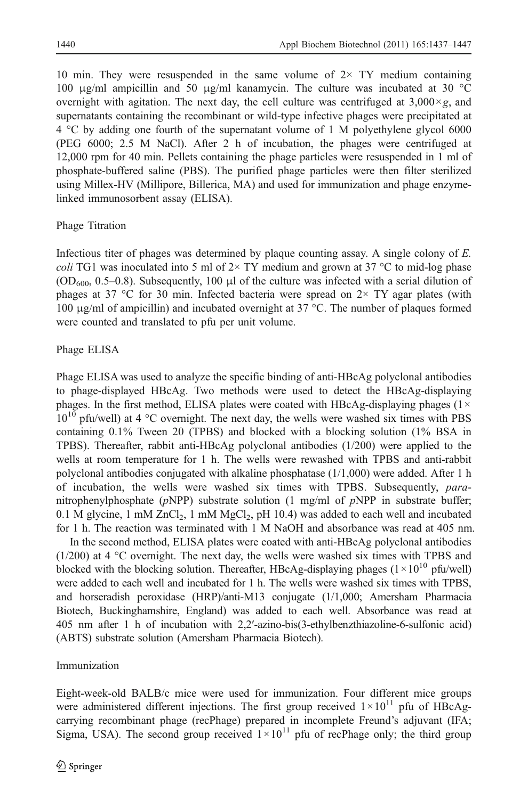10 min. They were resuspended in the same volume of  $2 \times TY$  medium containing 100 μg/ml ampicillin and 50 μg/ml kanamycin. The culture was incubated at 30 °C overnight with agitation. The next day, the cell culture was centrifuged at  $3,000\times g$ , and supernatants containing the recombinant or wild-type infective phages were precipitated at 4 °C by adding one fourth of the supernatant volume of 1 M polyethylene glycol 6000 (PEG 6000; 2.5 M NaCl). After 2 h of incubation, the phages were centrifuged at 12,000 rpm for 40 min. Pellets containing the phage particles were resuspended in 1 ml of phosphate-buffered saline (PBS). The purified phage particles were then filter sterilized using Millex-HV (Millipore, Billerica, MA) and used for immunization and phage enzymelinked immunosorbent assay (ELISA).

## Phage Titration

Infectious titer of phages was determined by plaque counting assay. A single colony of E. coli TG1 was inoculated into 5 ml of  $2 \times$  TY medium and grown at 37 °C to mid-log phase  $(OD_{600}, 0.5–0.8)$ . Subsequently, 100 µ of the culture was infected with a serial dilution of phages at 37 °C for 30 min. Infected bacteria were spread on  $2 \times$  TY agar plates (with 100 μg/ml of ampicillin) and incubated overnight at 37 °C. The number of plaques formed were counted and translated to pfu per unit volume.

## Phage ELISA

Phage ELISA was used to analyze the specific binding of anti-HBcAg polyclonal antibodies to phage-displayed HBcAg. Two methods were used to detect the HBcAg-displaying phages. In the first method, ELISA plates were coated with HBcAg-displaying phages ( $1 \times$  $10^{10}$  pfu/well) at 4 °C overnight. The next day, the wells were washed six times with PBS containing 0.1% Tween 20 (TPBS) and blocked with a blocking solution (1% BSA in TPBS). Thereafter, rabbit anti-HBcAg polyclonal antibodies (1/200) were applied to the wells at room temperature for 1 h. The wells were rewashed with TPBS and anti-rabbit polyclonal antibodies conjugated with alkaline phosphatase (1/1,000) were added. After 1 h of incubation, the wells were washed six times with TPBS. Subsequently, paranitrophenylphosphate ( $pNPP$ ) substrate solution (1 mg/ml of  $pNPP$  in substrate buffer; 0.1 M glycine, 1 mM  $ZnCl<sub>2</sub>$ , 1 mM  $MgCl<sub>2</sub>$ , pH 10.4) was added to each well and incubated for 1 h. The reaction was terminated with 1 M NaOH and absorbance was read at 405 nm.

In the second method, ELISA plates were coated with anti-HBcAg polyclonal antibodies  $(1/200)$  at 4 °C overnight. The next day, the wells were washed six times with TPBS and blocked with the blocking solution. Thereafter, HBcAg-displaying phages  $(1 \times 10^{10} \text{ pftu/well})$ were added to each well and incubated for 1 h. The wells were washed six times with TPBS, and horseradish peroxidase (HRP)/anti-M13 conjugate (1/1,000; Amersham Pharmacia Biotech, Buckinghamshire, England) was added to each well. Absorbance was read at 405 nm after 1 h of incubation with 2,2′-azino-bis(3-ethylbenzthiazoline-6-sulfonic acid) (ABTS) substrate solution (Amersham Pharmacia Biotech).

### Immunization

Eight-week-old BALB/c mice were used for immunization. Four different mice groups were administered different injections. The first group received  $1 \times 10^{11}$  pfu of HBcAgcarrying recombinant phage (recPhage) prepared in incomplete Freund's adjuvant (IFA; Sigma, USA). The second group received  $1 \times 10^{11}$  pfu of recPhage only; the third group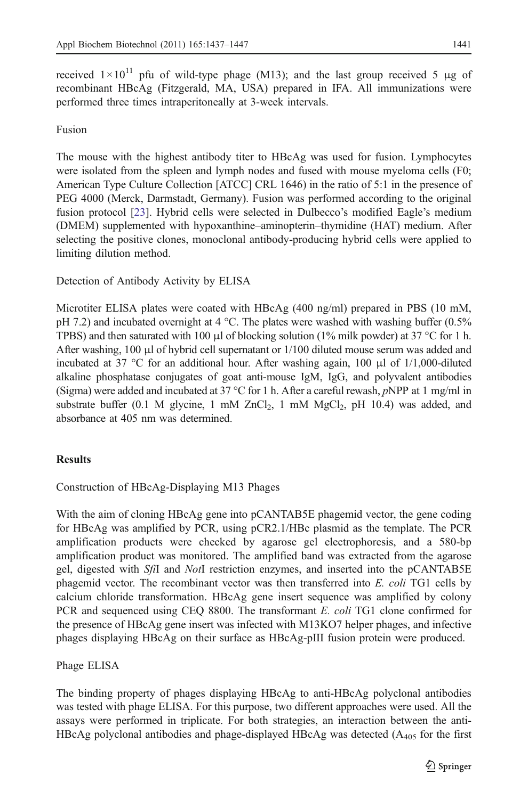received  $1 \times 10^{11}$  pfu of wild-type phage (M13); and the last group received 5  $\mu$ g of recombinant HBcAg (Fitzgerald, MA, USA) prepared in IFA. All immunizations were performed three times intraperitoneally at 3-week intervals.

## Fusion

The mouse with the highest antibody titer to HBcAg was used for fusion. Lymphocytes were isolated from the spleen and lymph nodes and fused with mouse myeloma cells (F0; American Type Culture Collection [ATCC] CRL 1646) in the ratio of 5:1 in the presence of PEG 4000 (Merck, Darmstadt, Germany). Fusion was performed according to the original fusion protocol [[23](#page-9-0)]. Hybrid cells were selected in Dulbecco's modified Eagle's medium (DMEM) supplemented with hypoxanthine–aminopterin–thymidine (HAT) medium. After selecting the positive clones, monoclonal antibody-producing hybrid cells were applied to limiting dilution method.

Detection of Antibody Activity by ELISA

Microtiter ELISA plates were coated with HBcAg (400 ng/ml) prepared in PBS (10 mM, pH 7.2) and incubated overnight at 4 °C. The plates were washed with washing buffer (0.5% TPBS) and then saturated with 100  $\mu$ l of blocking solution (1% milk powder) at 37 °C for 1 h. After washing, 100 μl of hybrid cell supernatant or 1/100 diluted mouse serum was added and incubated at 37 °C for an additional hour. After washing again, 100  $\mu$ l of 1/1,000-diluted alkaline phosphatase conjugates of goat anti-mouse IgM, IgG, and polyvalent antibodies (Sigma) were added and incubated at 37 °C for 1 h. After a careful rewash,  $pNPP$  at 1 mg/ml in substrate buffer (0.1 M glycine, 1 mM  $ZnCl<sub>2</sub>$ , 1 mM  $MgCl<sub>2</sub>$ , pH 10.4) was added, and absorbance at 405 nm was determined.

## Results

Construction of HBcAg-Displaying M13 Phages

With the aim of cloning HBcAg gene into pCANTAB5E phagemid vector, the gene coding for HBcAg was amplified by PCR, using pCR2.1/HBc plasmid as the template. The PCR amplification products were checked by agarose gel electrophoresis, and a 580-bp amplification product was monitored. The amplified band was extracted from the agarose gel, digested with SfiI and NotI restriction enzymes, and inserted into the pCANTAB5E phagemid vector. The recombinant vector was then transferred into E. coli TG1 cells by calcium chloride transformation. HBcAg gene insert sequence was amplified by colony PCR and sequenced using CEQ 8800. The transformant E. coli TG1 clone confirmed for the presence of HBcAg gene insert was infected with M13KO7 helper phages, and infective phages displaying HBcAg on their surface as HBcAg-pIII fusion protein were produced.

## Phage ELISA

The binding property of phages displaying HBcAg to anti-HBcAg polyclonal antibodies was tested with phage ELISA. For this purpose, two different approaches were used. All the assays were performed in triplicate. For both strategies, an interaction between the anti-HBcAg polyclonal antibodies and phage-displayed HBcAg was detected  $(A<sub>405</sub>$  for the first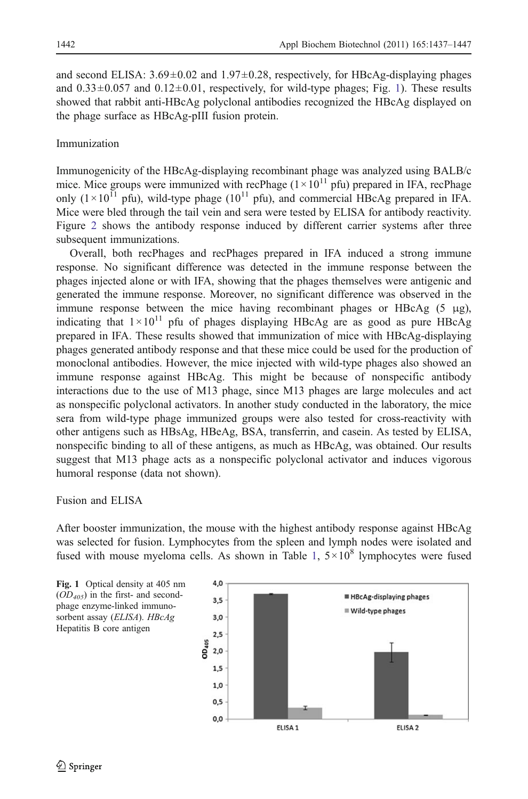<span id="page-5-0"></span>and second ELISA:  $3.69 \pm 0.02$  and  $1.97 \pm 0.28$ , respectively, for HBcAg-displaying phages and  $0.33\pm0.057$  and  $0.12\pm0.01$ , respectively, for wild-type phages; Fig. 1). These results showed that rabbit anti-HBcAg polyclonal antibodies recognized the HBcAg displayed on the phage surface as HBcAg-pIII fusion protein.

#### Immunization

Immunogenicity of the HBcAg-displaying recombinant phage was analyzed using BALB/c mice. Mice groups were immunized with recPhage  $(1 \times 10^{11} \text{ pft})$  prepared in IFA, recPhage only  $(1 \times 10^{11} \text{ pftu})$ , wild-type phage  $(10^{11} \text{ pftu})$ , and commercial HBcAg prepared in IFA. Mice were bled through the tail vein and sera were tested by ELISA for antibody reactivity. Figure [2](#page-6-0) shows the antibody response induced by different carrier systems after three subsequent immunizations.

Overall, both recPhages and recPhages prepared in IFA induced a strong immune response. No significant difference was detected in the immune response between the phages injected alone or with IFA, showing that the phages themselves were antigenic and generated the immune response. Moreover, no significant difference was observed in the immune response between the mice having recombinant phages or  $HBcAg$  (5  $\mu$ g), indicating that  $1 \times 10^{11}$  pfu of phages displaying HBcAg are as good as pure HBcAg prepared in IFA. These results showed that immunization of mice with HBcAg-displaying phages generated antibody response and that these mice could be used for the production of monoclonal antibodies. However, the mice injected with wild-type phages also showed an immune response against HBcAg. This might be because of nonspecific antibody interactions due to the use of M13 phage, since M13 phages are large molecules and act as nonspecific polyclonal activators. In another study conducted in the laboratory, the mice sera from wild-type phage immunized groups were also tested for cross-reactivity with other antigens such as HBsAg, HBeAg, BSA, transferrin, and casein. As tested by ELISA, nonspecific binding to all of these antigens, as much as HBcAg, was obtained. Our results suggest that M13 phage acts as a nonspecific polyclonal activator and induces vigorous humoral response (data not shown).

Fusion and ELISA

After booster immunization, the mouse with the highest antibody response against HBcAg was selected for fusion. Lymphocytes from the spleen and lymph nodes were isolated and fused with mouse myeloma cells. As shown in Table [1](#page-6-0),  $5 \times 10^8$  lymphocytes were fused

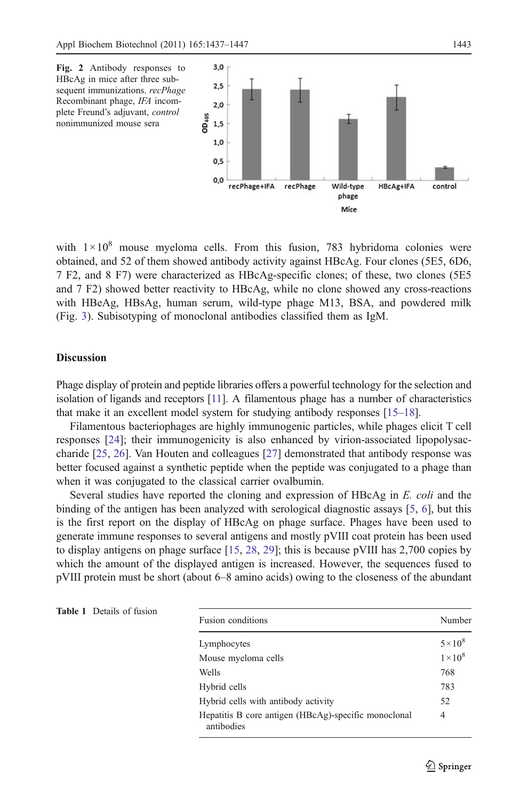<span id="page-6-0"></span>

with  $1 \times 10^8$  mouse myeloma cells. From this fusion, 783 hybridoma colonies were obtained, and 52 of them showed antibody activity against HBcAg. Four clones (5E5, 6D6, 7 F2, and 8 F7) were characterized as HBcAg-specific clones; of these, two clones (5E5 and 7 F2) showed better reactivity to HBcAg, while no clone showed any cross-reactions with HBeAg, HBsAg, human serum, wild-type phage M13, BSA, and powdered milk (Fig. [3\)](#page-7-0). Subisotyping of monoclonal antibodies classified them as IgM.

#### **Discussion**

Phage display of protein and peptide libraries offers a powerful technology for the selection and isolation of ligands and receptors [[11\]](#page-9-0). A filamentous phage has a number of characteristics that make it an excellent model system for studying antibody responses [\[15](#page-9-0)–[18](#page-9-0)].

Filamentous bacteriophages are highly immunogenic particles, while phages elicit T cell responses [\[24\]](#page-9-0); their immunogenicity is also enhanced by virion-associated lipopolysaccharide [\[25,](#page-9-0) [26](#page-9-0)]. Van Houten and colleagues [[27](#page-9-0)] demonstrated that antibody response was better focused against a synthetic peptide when the peptide was conjugated to a phage than when it was conjugated to the classical carrier ovalbumin.

Several studies have reported the cloning and expression of HBcAg in E. coli and the binding of the antigen has been analyzed with serological diagnostic assays [\[5,](#page-8-0) [6\]](#page-8-0), but this is the first report on the display of HBcAg on phage surface. Phages have been used to generate immune responses to several antigens and mostly pVIII coat protein has been used to display antigens on phage surface [\[15,](#page-9-0) [28](#page-9-0), [29\]](#page-9-0); this is because pVIII has 2,700 copies by which the amount of the displayed antigen is increased. However, the sequences fused to pVIII protein must be short (about 6–8 amino acids) owing to the closeness of the abundant

| sion | <b>Fusion conditions</b>                                           | Number          |
|------|--------------------------------------------------------------------|-----------------|
|      | Lymphocytes                                                        | $5 \times 10^8$ |
|      | Mouse myeloma cells                                                | $1 \times 10^8$ |
|      | Wells                                                              | 768             |
|      | Hybrid cells                                                       | 783             |
|      | Hybrid cells with antibody activity                                | 52              |
|      | Hepatitis B core antigen (HBcAg)-specific monoclonal<br>antibodies | $\overline{4}$  |

#### Table 1 Details of fu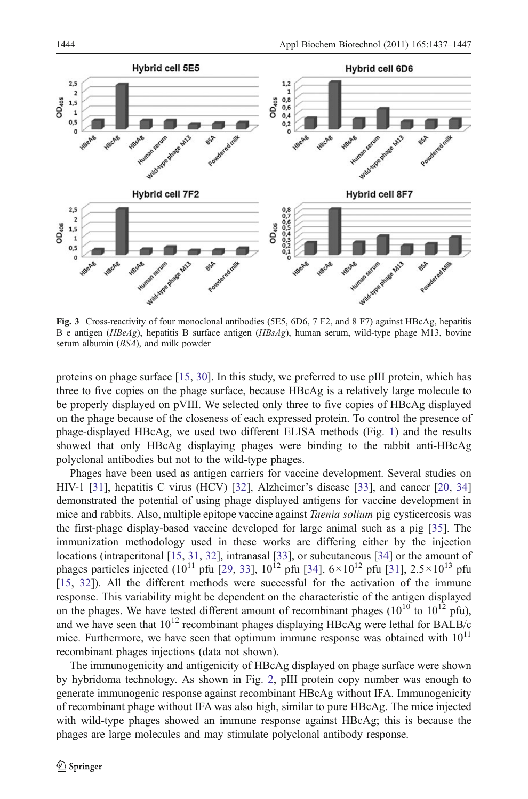<span id="page-7-0"></span>

Fig. 3 Cross-reactivity of four monoclonal antibodies (5E5, 6D6, 7 F2, and 8 F7) against HBcAg, hepatitis B e antigen (HBeAg), hepatitis B surface antigen (HBsAg), human serum, wild-type phage M13, bovine serum albumin (BSA), and milk powder

proteins on phage surface [[15](#page-9-0), [30\]](#page-9-0). In this study, we preferred to use pIII protein, which has three to five copies on the phage surface, because HBcAg is a relatively large molecule to be properly displayed on pVIII. We selected only three to five copies of HBcAg displayed on the phage because of the closeness of each expressed protein. To control the presence of phage-displayed HBcAg, we used two different ELISA methods (Fig. [1\)](#page-5-0) and the results showed that only HBcAg displaying phages were binding to the rabbit anti-HBcAg polyclonal antibodies but not to the wild-type phages.

Phages have been used as antigen carriers for vaccine development. Several studies on HIV-1 [\[31\]](#page-10-0), hepatitis C virus (HCV) [[32](#page-10-0)], Alzheimer's disease [[33](#page-10-0)], and cancer [[20](#page-9-0), [34\]](#page-10-0) demonstrated the potential of using phage displayed antigens for vaccine development in mice and rabbits. Also, multiple epitope vaccine against *Taenia solium* pig cysticercosis was the first-phage display-based vaccine developed for large animal such as a pig [[35](#page-10-0)]. The immunization methodology used in these works are differing either by the injection locations (intraperitonal [\[15,](#page-9-0) [31,](#page-10-0) [32](#page-10-0)], intranasal [\[33\]](#page-10-0), or subcutaneous [[34\]](#page-10-0) or the amount of phages particles injected (10<sup>11</sup> pfu [\[29,](#page-9-0) [33\]](#page-10-0), 10<sup>12</sup> pfu [[34](#page-10-0)],  $6 \times 10^{12}$  pfu [[31](#page-10-0)],  $2.5 \times 10^{13}$  pfu [[15](#page-9-0), [32\]](#page-10-0)). All the different methods were successful for the activation of the immune response. This variability might be dependent on the characteristic of the antigen displayed on the phages. We have tested different amount of recombinant phages ( $10^{10}$  to  $10^{12}$  pfu), and we have seen that  $10^{12}$  recombinant phages displaying HBcAg were lethal for BALB/c mice. Furthermore, we have seen that optimum immune response was obtained with  $10^{11}$ recombinant phages injections (data not shown).

The immunogenicity and antigenicity of HBcAg displayed on phage surface were shown by hybridoma technology. As shown in Fig. [2,](#page-6-0) pIII protein copy number was enough to generate immunogenic response against recombinant HBcAg without IFA. Immunogenicity of recombinant phage without IFA was also high, similar to pure HBcAg. The mice injected with wild-type phages showed an immune response against HBcAg; this is because the phages are large molecules and may stimulate polyclonal antibody response.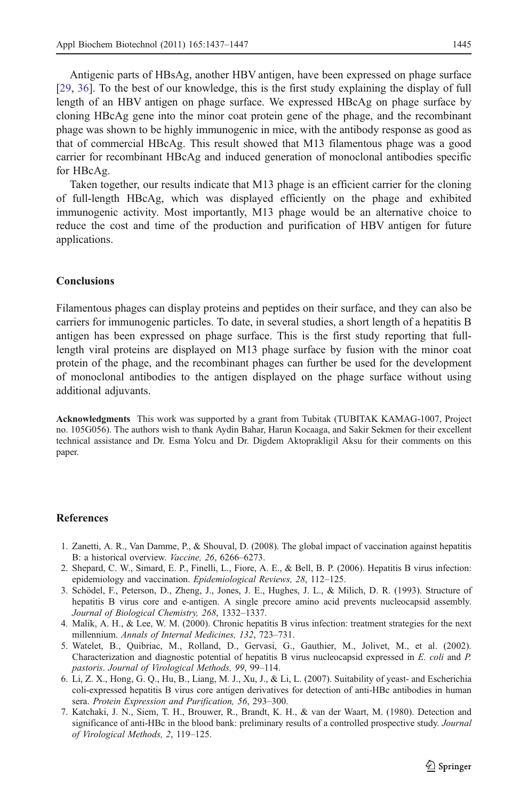<span id="page-8-0"></span>Antigenic parts of HBsAg, another HBV antigen, have been expressed on phage surface [[29](#page-9-0), [36](#page-10-0)]. To the best of our knowledge, this is the first study explaining the display of full length of an HBV antigen on phage surface. We expressed HBcAg on phage surface by cloning HBcAg gene into the minor coat protein gene of the phage, and the recombinant phage was shown to be highly immunogenic in mice, with the antibody response as good as that of commercial HBcAg. This result showed that M13 filamentous phage was a good carrier for recombinant HBcAg and induced generation of monoclonal antibodies specific for HBcAg.

Taken together, our results indicate that M13 phage is an efficient carrier for the cloning of full-length HBcAg, which was displayed efficiently on the phage and exhibited immunogenic activity. Most importantly, M13 phage would be an alternative choice to reduce the cost and time of the production and purification of HBV antigen for future applications.

#### Conclusions

Filamentous phages can display proteins and peptides on their surface, and they can also be carriers for immunogenic particles. To date, in several studies, a short length of a hepatitis B antigen has been expressed on phage surface. This is the first study reporting that fulllength viral proteins are displayed on M13 phage surface by fusion with the minor coat protein of the phage, and the recombinant phages can further be used for the development of monoclonal antibodies to the antigen displayed on the phage surface without using additional adjuvants.

Acknowledgments This work was supported by a grant from Tubitak (TUBITAK KAMAG-1007, Project no. 105G056). The authors wish to thank Aydin Bahar, Harun Kocaaga, and Sakir Sekmen for their excellent technical assistance and Dr. Esma Yolcu and Dr. Digdem Aktoprakligil Aksu for their comments on this paper.

#### References

- 1. Zanetti, A. R., Van Damme, P., & Shouval, D. (2008). The global impact of vaccination against hepatitis B: a historical overview. Vaccine, 26, 6266–6273.
- 2. Shepard, C. W., Simard, E. P., Finelli, L., Fiore, A. E., & Bell, B. P. (2006). Hepatitis B virus infection: epidemiology and vaccination. Epidemiological Reviews, 28, 112–125.
- 3. Schödel, F., Peterson, D., Zheng, J., Jones, J. E., Hughes, J. L., & Milich, D. R. (1993). Structure of hepatitis B virus core and e-antigen. A single precore amino acid prevents nucleocapsid assembly. Journal of Biological Chemistry, 268, 1332–1337.
- 4. Malik, A. H., & Lee, W. M. (2000). Chronic hepatitis B virus infection: treatment strategies for the next millennium. Annals of Internal Medicines, 132, 723–731.
- 5. Watelet, B., Quibriac, M., Rolland, D., Gervasi, G., Gauthier, M., Jolivet, M., et al. (2002). Characterization and diagnostic potential of hepatitis B virus nucleocapsid expressed in E. coli and P. pastoris. Journal of Virological Methods, 99, 99–114.
- 6. Li, Z. X., Hong, G. Q., Hu, B., Liang, M. J., Xu, J., & Li, L. (2007). Suitability of yeast- and Escherichia coli-expressed hepatitis B virus core antigen derivatives for detection of anti-HBc antibodies in human sera. Protein Expression and Purification, 56, 293-300.
- 7. Katchaki, J. N., Siem, T. H., Brouwer, R., Brandt, K. H., & van der Waart, M. (1980). Detection and significance of anti-HBc in the blood bank: preliminary results of a controlled prospective study. Journal of Virological Methods, 2, 119–125.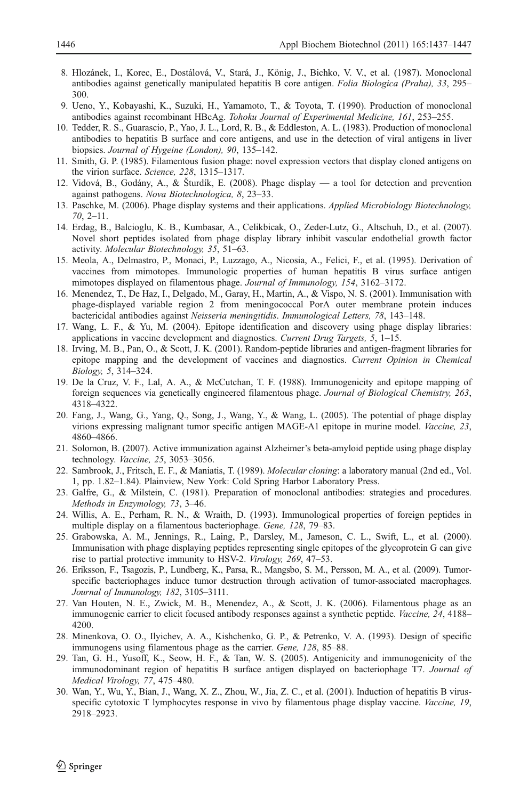- <span id="page-9-0"></span>8. Hlozánek, I., Korec, E., Dostálová, V., Stará, J., König, J., Bichko, V. V., et al. (1987). Monoclonal antibodies against genetically manipulated hepatitis B core antigen. Folia Biologica (Praha), 33, 295– 300.
- 9. Ueno, Y., Kobayashi, K., Suzuki, H., Yamamoto, T., & Toyota, T. (1990). Production of monoclonal antibodies against recombinant HBcAg. Tohoku Journal of Experimental Medicine, 161, 253–255.
- 10. Tedder, R. S., Guarascio, P., Yao, J. L., Lord, R. B., & Eddleston, A. L. (1983). Production of monoclonal antibodies to hepatitis B surface and core antigens, and use in the detection of viral antigens in liver biopsies. Journal of Hygeine (London), 90, 135–142.
- 11. Smith, G. P. (1985). Filamentous fusion phage: novel expression vectors that display cloned antigens on the virion surface. Science, 228, 1315–1317.
- 12. Vidová, B., Godány, A., & Šturdík, E. (2008). Phage display a tool for detection and prevention against pathogens. Nova Biotechnologica, 8, 23–33.
- 13. Paschke, M. (2006). Phage display systems and their applications. Applied Microbiology Biotechnology, 70, 2–11.
- 14. Erdag, B., Balcioglu, K. B., Kumbasar, A., Celikbicak, O., Zeder-Lutz, G., Altschuh, D., et al. (2007). Novel short peptides isolated from phage display library inhibit vascular endothelial growth factor activity. Molecular Biotechnology, 35, 51–63.
- 15. Meola, A., Delmastro, P., Monaci, P., Luzzago, A., Nicosia, A., Felici, F., et al. (1995). Derivation of vaccines from mimotopes. Immunologic properties of human hepatitis B virus surface antigen mimotopes displayed on filamentous phage. Journal of Immunology, 154, 3162–3172.
- 16. Menendez, T., De Haz, I., Delgado, M., Garay, H., Martin, A., & Vispo, N. S. (2001). Immunisation with phage-displayed variable region 2 from meningococcal PorA outer membrane protein induces bactericidal antibodies against Neisseria meningitidis. Immunological Letters, 78, 143–148.
- 17. Wang, L. F., & Yu, M. (2004). Epitope identification and discovery using phage display libraries: applications in vaccine development and diagnostics. Current Drug Targets, 5, 1–15.
- 18. Irving, M. B., Pan, O., & Scott, J. K. (2001). Random-peptide libraries and antigen-fragment libraries for epitope mapping and the development of vaccines and diagnostics. Current Opinion in Chemical Biology, 5, 314–324.
- 19. De la Cruz, V. F., Lal, A. A., & McCutchan, T. F. (1988). Immunogenicity and epitope mapping of foreign sequences via genetically engineered filamentous phage. Journal of Biological Chemistry, 263, 4318–4322.
- 20. Fang, J., Wang, G., Yang, Q., Song, J., Wang, Y., & Wang, L. (2005). The potential of phage display virions expressing malignant tumor specific antigen MAGE-A1 epitope in murine model. Vaccine, 23, 4860–4866.
- 21. Solomon, B. (2007). Active immunization against Alzheimer's beta-amyloid peptide using phage display technology. Vaccine, 25, 3053–3056.
- 22. Sambrook, J., Fritsch, E. F., & Maniatis, T. (1989). *Molecular cloning*: a laboratory manual (2nd ed., Vol. 1, pp. 1.82–1.84). Plainview, New York: Cold Spring Harbor Laboratory Press.
- 23. Galfre, G., & Milstein, C. (1981). Preparation of monoclonal antibodies: strategies and procedures. Methods in Enzymology, 73, 3–46.
- 24. Willis, A. E., Perham, R. N., & Wraith, D. (1993). Immunological properties of foreign peptides in multiple display on a filamentous bacteriophage. Gene, 128, 79–83.
- 25. Grabowska, A. M., Jennings, R., Laing, P., Darsley, M., Jameson, C. L., Swift, L., et al. (2000). Immunisation with phage displaying peptides representing single epitopes of the glycoprotein G can give rise to partial protective immunity to HSV-2. Virology, 269, 47–53.
- 26. Eriksson, F., Tsagozis, P., Lundberg, K., Parsa, R., Mangsbo, S. M., Persson, M. A., et al. (2009). Tumorspecific bacteriophages induce tumor destruction through activation of tumor-associated macrophages. Journal of Immunology, 182, 3105–3111.
- 27. Van Houten, N. E., Zwick, M. B., Menendez, A., & Scott, J. K. (2006). Filamentous phage as an immunogenic carrier to elicit focused antibody responses against a synthetic peptide. Vaccine, 24, 4188– 4200.
- 28. Minenkova, O. O., Ilyichev, A. A., Kishchenko, G. P., & Petrenko, V. A. (1993). Design of specific immunogens using filamentous phage as the carrier. Gene, 128, 85–88.
- 29. Tan, G. H., Yusoff, K., Seow, H. F., & Tan, W. S. (2005). Antigenicity and immunogenicity of the immunodominant region of hepatitis B surface antigen displayed on bacteriophage T7. Journal of Medical Virology, 77, 475–480.
- 30. Wan, Y., Wu, Y., Bian, J., Wang, X. Z., Zhou, W., Jia, Z. C., et al. (2001). Induction of hepatitis B virusspecific cytotoxic T lymphocytes response in vivo by filamentous phage display vaccine. Vaccine, 19, 2918–2923.